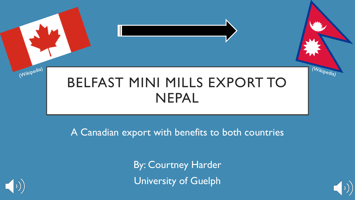# BELFAST MINI MILLS EXPORT TO NEPAL

A Canadian export with benefits to both countries

By: Courtney Harder University of Guelph



(Wikipedia)



(Wikipedia)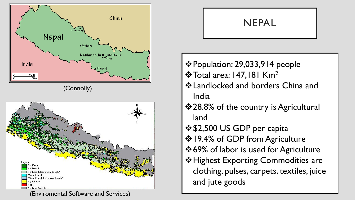





# NEPAL

- Population: 29,033,914 people **\*** Total area: 147,181 Km<sup>2</sup>
- Landlocked and borders China and India
- ❖ 28.8% of the country is Agricultural land
- $$2,500$  **US GDP per capita**
- ❖ 19.4% of GDP from Agriculture
- ❖ 69% of labor is used for Agriculture
- $\div$  **Highest Exporting Commodities are** clothing, pulses, carpets, textiles, juice and jute goods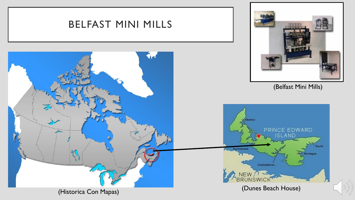![](_page_2_Figure_0.jpeg)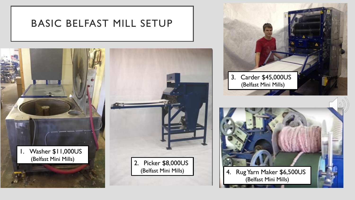## BASIC BELFAST MILL SETUP

![](_page_3_Picture_1.jpeg)

![](_page_3_Picture_2.jpeg)

(Belfast Mini Mills)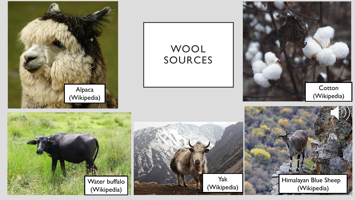![](_page_4_Picture_0.jpeg)

# WOOL SOURCES

![](_page_4_Picture_2.jpeg)

![](_page_4_Picture_3.jpeg)

![](_page_4_Picture_4.jpeg)

![](_page_4_Picture_5.jpeg)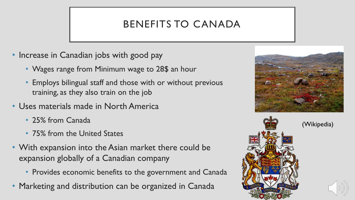# BENEFITS TO CANADA

- Increase in Canadian jobs with good pay
	- Wages range from Minimum wage to 28\$ an hour
	- Employs bilingual staff and those with or without previous training, as they also train on the job
- Uses materials made in North America
	- 25% from Canada
	- 75% from the United States
- With expansion into the Asian market there could be expansion globally of a Canadian company
	- Provides economic benefits to the government and Canada
- Marketing and distribution can be organized in Canada

![](_page_5_Picture_10.jpeg)

![](_page_5_Picture_11.jpeg)

(Wikipedia)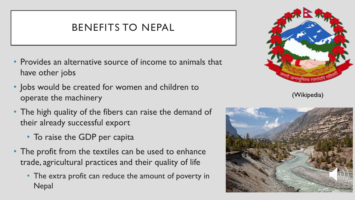## BENEFITS TO NEPAL

- Provides an alternative source of income to animals that have other jobs
- Jobs would be created for women and children to operate the machinery
- The high quality of the fibers can raise the demand of their already successful export
	- To raise the GDP per capita
- The profit from the textiles can be used to enhance trade, agricultural practices and their quality of life
	- The extra profit can reduce the amount of poverty in **Nepal**

![](_page_6_Picture_7.jpeg)

(Wikipedia)

![](_page_6_Picture_9.jpeg)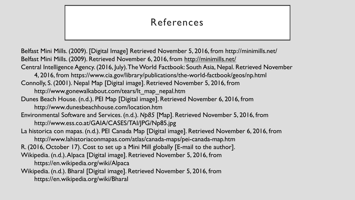# References

Belfast Mini Mills. (2009). [Digital Image] Retrieved November 5, 2016, from http://minimills.net/ Belfast Mini Mills. (2009). Retrieved November 6, 2016, from http://minimills.net/ Central Intelligence Agency. (2016, July). The World Factbook: South Asia, Nepal. Retrieved November 4, 2016, from https://www.cia.gov/library/publications/the-world-factbook/geos/np.html Connolly, S. (2001). Nepal Map [Digital image]. Retrieved November 5, 2016, from http://www.gonewalkabout.com/tears/lt\_map\_nepal.htm Dunes Beach House. (n.d.). PEI Map [Digital image]. Retrieved November 6, 2016, from http://www.dunesbeachhouse.com/location.htm Environmental Software and Services. (n.d.). *Np85* [Map]. Retrieved November 5, 2016, from http://www.ess.co.at/GAIA/CASES/TAI/JPG/Np85.jpg La historica con mapas. (n.d.). PEI Canada Map [Digital image]. Retrieved November 6, 2016, from http://www.lahistoriaconmapas.com/atlas/canada-maps/pei-canada-map.htm R. (2016, October 17). Cost to set up a Mini Mill globally [E-mail to the author]. Wikipedia. (n.d.). Alpaca [Digital image]. Retrieved November 5, 2016, from https://en.wikipedia.org/wiki/Alpaca Wikipedia. (n.d.). Bharal [Digital image]. Retrieved November 5, 2016, from https://en.wikipedia.org/wiki/Bharal